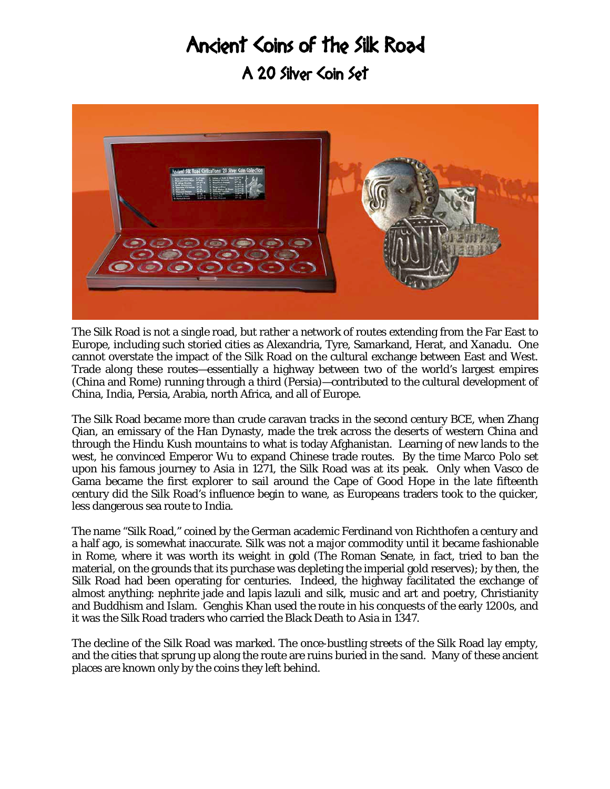## Ancient Coins of the Silk Road

A 20 Silver Coin Set



The Silk Road is not a single road, but rather a network of routes extending from the Far East to Europe, including such storied cities as Alexandria, Tyre, Samarkand, Herat, and Xanadu. One cannot overstate the impact of the Silk Road on the cultural exchange between East and West. Trade along these routes—essentially a highway between two of the world's largest empires (China and Rome) running through a third (Persia)—contributed to the cultural development of China, India, Persia, Arabia, north Africa, and all of Europe.

The Silk Road became more than crude caravan tracks in the second century BCE, when Zhang Qian, an emissary of the Han Dynasty, made the trek across the deserts of western China and through the Hindu Kush mountains to what is today Afghanistan. Learning of new lands to the west, he convinced Emperor Wu to expand Chinese trade routes. By the time Marco Polo set upon his famous journey to Asia in 1271, the Silk Road was at its peak. Only when Vasco de Gama became the first explorer to sail around the Cape of Good Hope in the late fifteenth century did the Silk Road's influence begin to wane, as Europeans traders took to the quicker, less dangerous sea route to India.

The name "Silk Road," coined by the German academic Ferdinand von Richthofen a century and a half ago, is somewhat inaccurate. Silk was not a major commodity until it became fashionable in Rome, where it was worth its weight in gold (The Roman Senate, in fact, tried to ban the material, on the grounds that its purchase was depleting the imperial gold reserves); by then, the Silk Road had been operating for centuries. Indeed, the highway facilitated the exchange of almost anything: nephrite jade and lapis lazuli and silk, music and art and poetry, Christianity and Buddhism and Islam. Genghis Khan used the route in his conquests of the early 1200s, and it was the Silk Road traders who carried the Black Death to Asia in 1347.

The decline of the Silk Road was marked. The once-bustling streets of the Silk Road lay empty, and the cities that sprung up along the route are ruins buried in the sand. Many of these ancient places are known only by the coins they left behind.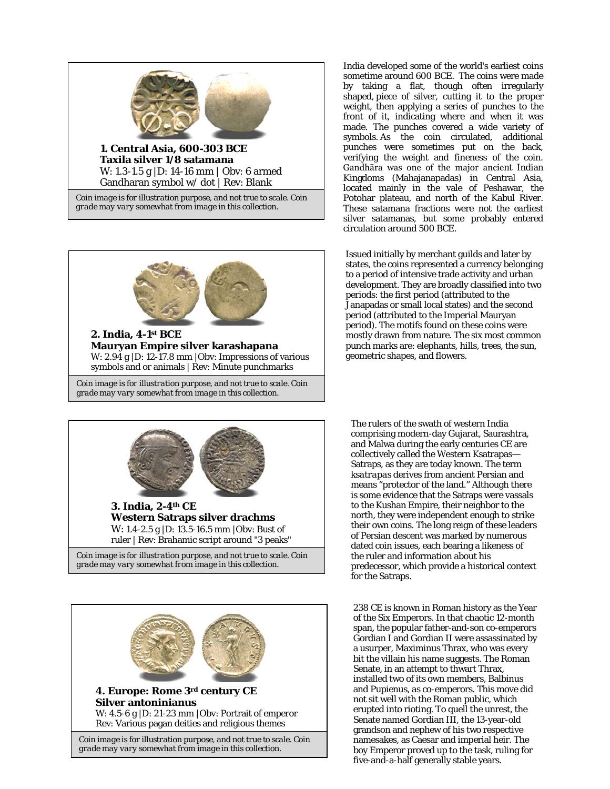

Gandharan symbol w/ dot | Rev: Blank

*Coin image is for illustration purpose, and not true to scale. Coin grade may vary somewhat from image in this collection.*



**2. India, 4-1st BCE Mauryan Empire silver karashapana** W: 2.94 g |D: 12-17.8 mm |Obv: Impressions of various symbols and or animals | Rev: Minute punchmarks

*Coin image is for illustration purpose, and not true to scale. Coin grade may vary somewhat from image in this collection.*

India developed some of the world's earliest coins sometime around 600 BCE. The coins were made by taking a flat, though often irregularly shaped, piece of silver, cutting it to the proper weight, then applying a series of punches to the front of it, indicating where and when it was made. The punches covered a wide variety of symbols. As the coin circulated, additional punches were sometimes put on the back, verifying the weight and fineness of the coin. Gandhāra was one of the major ancient Indian Kingdoms (Mahajanapadas) in Central Asia, located mainly in the vale of Peshawar, the Potohar plateau, and north of the Kabul River. These satamana fractions were not the earliest silver satamanas, but some probably entered circulation around 500 BCE.

Issued initially by merchant guilds and later by states, the coins represented a currency belonging to a period of intensive trade activity and urban development. They are broadly classified into two periods: the first period (attributed to the Janapadas or small local states) and the second period (attributed to the Imperial Mauryan period). The motifs found on these coins were mostly drawn from nature. The six most common punch marks are: elephants, hills, trees, the sun, geometric shapes, and flowers.





The rulers of the swath of western India comprising modern-day Gujarat, Saurashtra, and Malwa during the early centuries CE are collectively called the Western Ksatrapas— Satraps, as they are today known. The term *ksatrapas* derives from ancient Persian and means "protector of the land." Although there is some evidence that the Satraps were vassals to the Kushan Empire, their neighbor to the north, they were independent enough to strike their own coins. The long reign of these leaders of Persian descent was marked by numerous dated coin issues, each bearing a likeness of the ruler and information about his predecessor, which provide a historical context for the Satraps.

238 CE is known in Roman history as the Year of the Six Emperors. In that chaotic 12-month span, the popular father-and-son co-emperors Gordian I and Gordian II were assassinated by a usurper, Maximinus Thrax, who was every bit the villain his name suggests. The Roman Senate, in an attempt to thwart Thrax, installed two of its own members, Balbinus and Pupienus, as co-emperors. This move did not sit well with the Roman public, which erupted into rioting. To quell the unrest, the Senate named Gordian III, the 13-year-old grandson and nephew of his two respective namesakes, as Caesar and imperial heir. The boy Emperor proved up to the task, ruling for five-and-a-half generally stable years.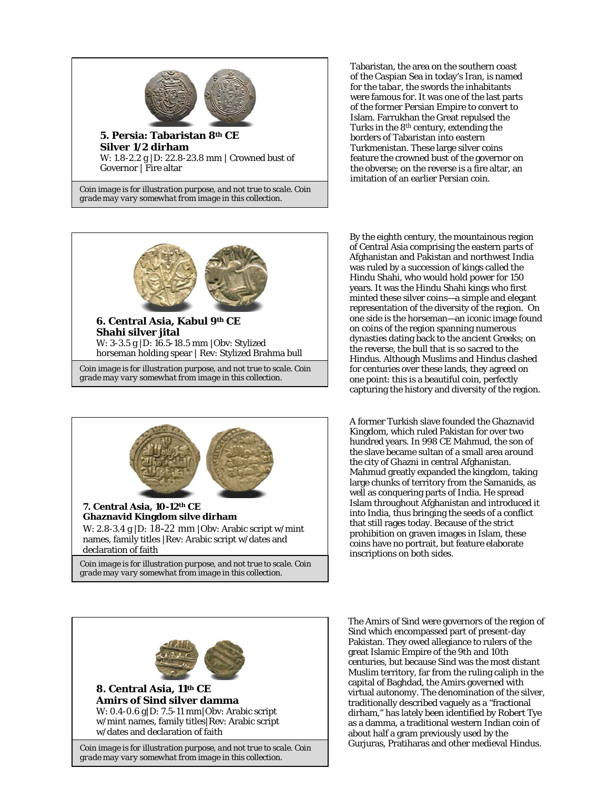

*Coin image is for illustration purpose, and not true to scale. Coin grade may vary somewhat from image in this collection.*



*Coin image is for illustration purpose, and not true to scale. Coin grade may vary somewhat from image in this collection.*



Tabaristan, the area on the southern coast of the Caspian Sea in today's Iran, is named for the *tabar*, the swords the inhabitants were famous for. It was one of the last parts of the former Persian Empire to convert to Islam. Farrukhan the Great repulsed the Turks in the 8th century, extending the borders of Tabaristan into eastern Turkmenistan. These large silver coins feature the crowned bust of the governor on the obverse; on the reverse is a fire altar, an imitation of an earlier Persian coin.

By the eighth century, the mountainous region of Central Asia comprising the eastern parts of Afghanistan and Pakistan and northwest India was ruled by a succession of kings called the Hindu Shahi, who would hold power for 150 years. It was the Hindu Shahi kings who first minted these silver coins—a simple and elegant representation of the diversity of the region. On one side is the horseman—an iconic image found on coins of the region spanning numerous dynasties dating back to the ancient Greeks; on the reverse, the bull that is so sacred to the Hindus. Although Muslims and Hindus clashed for centuries over these lands, they agreed on one point: this is a beautiful coin, perfectly capturing the history and diversity of the region.

A former Turkish slave founded the Ghaznavid Kingdom, which ruled Pakistan for over two hundred years. In 998 CE Mahmud, the son of the slave became sultan of a small area around the city of Ghazni in central Afghanistan. Mahmud greatly expanded the kingdom, taking large chunks of territory from the Samanids, as well as conquering parts of India. He spread Islam throughout Afghanistan and introduced it into India, thus bringing the seeds of a conflict that still rages today. Because of the strict prohibition on graven images in Islam, these coins have no portrait, but feature elaborate inscriptions on both sides.



The Amirs of Sind were governors of the region of Sind which encompassed part of present-day Pakistan. They owed allegiance to rulers of the great Islamic Empire of the 9th and 10th centuries, but because Sind was the most distant Muslim territory, far from the ruling caliph in the capital of Baghdad, the Amirs governed with virtual autonomy. The denomination of the silver, traditionally described vaguely as a "fractional dirham," has lately been identified by Robert Tye as a damma, a traditional western Indian coin of about half a gram previously used by the Gurjuras, Pratiharas and other medieval Hindus.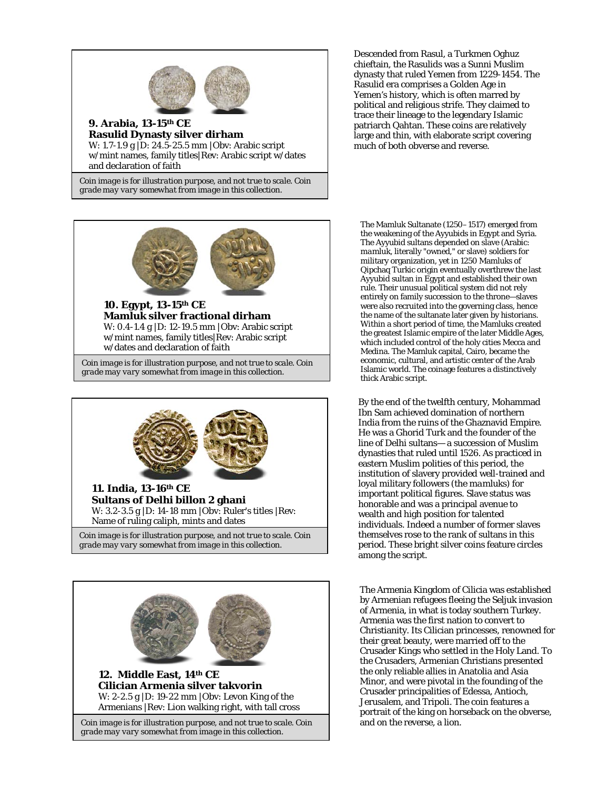

**Rasulid Dynasty silver dirham** W: 1.7-1.9 g |D: 24.5-25.5 mm |Obv: Arabic script w/mint names, family titles|Rev: Arabic script w/dates and declaration of faith

*Coin image is for illustration purpose, and not true to scale. Coin grade may vary somewhat from image in this collection.*



**10. Egypt, 13-15th CE Mamluk silver fractional dirham** W: 0.4-1.4 g |D: 12-19.5 mm |Obv: Arabic script w/mint names, family titles|Rev: Arabic script w/dates and declaration of faith

*Coin image is for illustration purpose, and not true to scale. Coin grade may vary somewhat from image in this collection.*





Descended from Rasul, a Turkmen Oghuz chieftain, the Rasulids was a Sunni Muslim dynasty that ruled Yemen from 1229-1454. The Rasulid era comprises a Golden Age in Yemen's history, which is often marred by political and religious strife. They claimed to trace their lineage to the legendary Islamic patriarch Qahtan. These coins are relatively large and thin, with elaborate script covering much of both obverse and reverse.

The Mamluk Sultanate (1250–1517) emerged from the weakening of the Ayyubids in Egypt and Syria. The Ayyubid sultans depended on slave (Arabic: *mamluk*, literally "owned," or slave) soldiers for military organization, yet in 1250 Mamluks of Qipchaq Turkic origin eventually overthrew the last Ayyubid sultan in Egypt and established their own rule. Their unusual political system did not rely entirely on family succession to the throne—slaves were also recruited into the governing class, hence the name of the sultanate later given by historians. Within a short period of time, the Mamluks created the greatest Islamic empire of the later Middle Ages, which included control of the holy cities Mecca and Medina. The Mamluk capital, Cairo, became the economic, cultural, and artistic center of the Arab Islamic world. The coinage features a distinctively thick Arabic script.

By the end of the twelfth century, Mohammad Ibn Sam achieved domination of northern India from the ruins of the Ghaznavid Empire. He was a Ghorid Turk and the founder of the line of Delhi sultans— a succession of Muslim dynasties that ruled until 1526. As practiced in eastern Muslim polities of this period, the institution of slavery provided well-trained and loyal military followers (the *mamluks*) for important political figures. Slave status was honorable and was a principal avenue to wealth and high position for talented individuals. Indeed a number of former slaves themselves rose to the rank of sultans in this period. These bright silver coins feature circles among the script.

The Armenia Kingdom of Cilicia was established by Armenian refugees fleeing the Seljuk invasion of Armenia, in what is today southern Turkey. Armenia was the first nation to convert to Christianity. Its Cilician princesses, renowned for their great beauty, were married off to the Crusader Kings who settled in the Holy Land. To the Crusaders, Armenian Christians presented the only reliable allies in Anatolia and Asia Minor, and were pivotal in the founding of the Crusader principalities of Edessa, Antioch, Jerusalem, and Tripoli. The coin features a portrait of the king on horseback on the obverse, and on the reverse, a lion.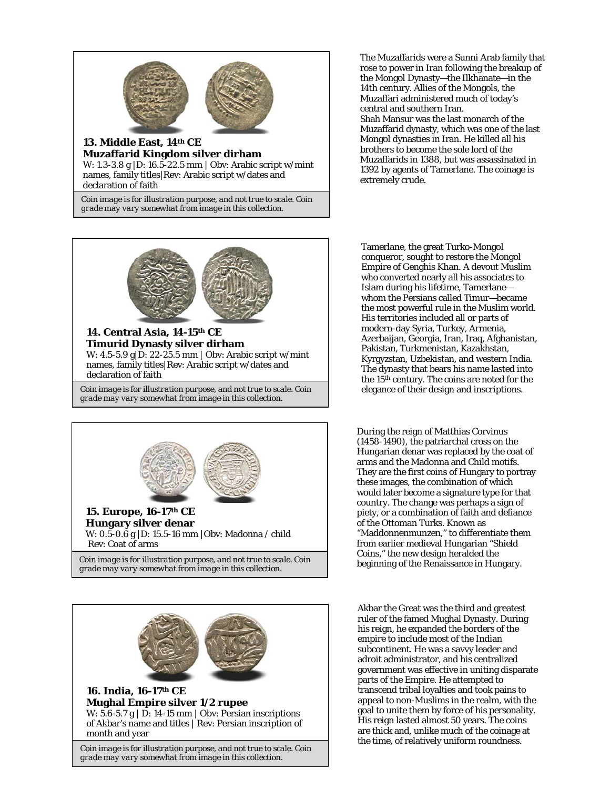

**Muzaffarid Kingdom silver dirham** W: 1.3-3.8 g |D: 16.5-22.5 mm | Obv: Arabic script w/mint names, family titles|Rev: Arabic script w/dates and declaration of faith

*Coin image is for illustration purpose, and not true to scale. Coin grade may vary somewhat from image in this collection.*



**14. Central Asia, 14-15th CE Timurid Dynasty silver dirham** W: 4.5-5.9 g|D: 22-25.5 mm | Obv: Arabic script w/mint names, family titles|Rev: Arabic script w/dates and declaration of faith

*Coin image is for illustration purpose, and not true to scale. Coin grade may vary somewhat from image in this collection.*





The Muzaffarids were a Sunni Arab family that rose to power in Iran following the breakup of the Mongol Dynasty—the Ilkhanate—in the 14th century. Allies of the Mongols, the Muzaffari administered much of today's central and southern Iran. Shah Mansur was the last monarch of the Muzaffarid dynasty, which was one of the last Mongol dynasties in Iran. He killed all his brothers to become the sole lord of the Muzaffarids in 1388, but was assassinated in 1392 by agents of Tamerlane. The coinage is extremely crude.

Tamerlane, the great Turko-Mongol conqueror, sought to restore the Mongol Empire of Genghis Khan. A devout Muslim who converted nearly all his associates to Islam during his lifetime, Tamerlane whom the Persians called Timur—became the most powerful rule in the Muslim world. His territories included all or parts of modern-day Syria, Turkey, Armenia, Azerbaijan, Georgia, Iran, Iraq, Afghanistan, Pakistan, Turkmenistan, Kazakhstan, Kyrgyzstan, Uzbekistan, and western India. The dynasty that bears his name lasted into the 15th century. The coins are noted for the elegance of their design and inscriptions.

During the reign of Matthias Corvinus (1458-1490), the patriarchal cross on the Hungarian denar was replaced by the coat of arms and the Madonna and Child motifs. They are the first coins of Hungary to portray these images, the combination of which would later become a signature type for that country. The change was perhaps a sign of piety, or a combination of faith and defiance of the Ottoman Turks. Known as "Maddonnenmunzen," to differentiate them from earlier medieval Hungarian "Shield Coins," the new design heralded the beginning of the Renaissance in Hungary.

Akbar the Great was the third and greatest ruler of the famed Mughal Dynasty. During his reign, he expanded the borders of the empire to include most of the Indian subcontinent. He was a savvy leader and adroit administrator, and his centralized government was effective in uniting disparate parts of the Empire. He attempted to transcend tribal loyalties and took pains to appeal to non-Muslims in the realm, with the goal to unite them by force of his personality. His reign lasted almost 50 years. The coins are thick and, unlike much of the coinage at the time, of relatively uniform roundness.